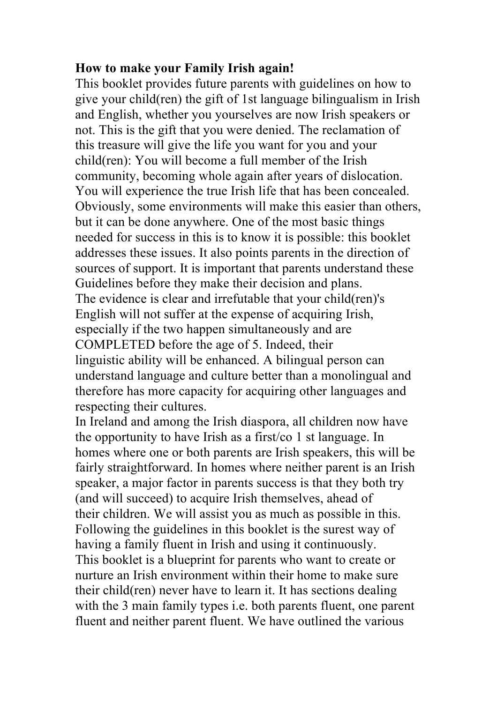## **How to make your Family Irish again!**

This booklet provides future parents with guidelines on how to give your child(ren) the gift of 1st language bilingualism in Irish and English, whether you yourselves are now Irish speakers or not. This is the gift that you were denied. The reclamation of this treasure will give the life you want for you and your child(ren): You will become a full member of the Irish community, becoming whole again after years of dislocation. You will experience the true Irish life that has been concealed. Obviously, some environments will make this easier than others, but it can be done anywhere. One of the most basic things needed for success in this is to know it is possible: this booklet addresses these issues. It also points parents in the direction of sources of support. It is important that parents understand these Guidelines before they make their decision and plans. The evidence is clear and irrefutable that your child(ren)'s English will not suffer at the expense of acquiring Irish, especially if the two happen simultaneously and are COMPLETED before the age of 5. Indeed, their linguistic ability will be enhanced. A bilingual person can understand language and culture better than a monolingual and therefore has more capacity for acquiring other languages and respecting their cultures.

In Ireland and among the Irish diaspora, all children now have the opportunity to have Irish as a first/co 1 st language. In homes where one or both parents are Irish speakers, this will be fairly straightforward. In homes where neither parent is an Irish speaker, a major factor in parents success is that they both try (and will succeed) to acquire Irish themselves, ahead of their children. We will assist you as much as possible in this. Following the guidelines in this booklet is the surest way of having a family fluent in Irish and using it continuously. This booklet is a blueprint for parents who want to create or nurture an Irish environment within their home to make sure their child(ren) never have to learn it. It has sections dealing with the 3 main family types *i.e.* both parents fluent, one parent fluent and neither parent fluent. We have outlined the various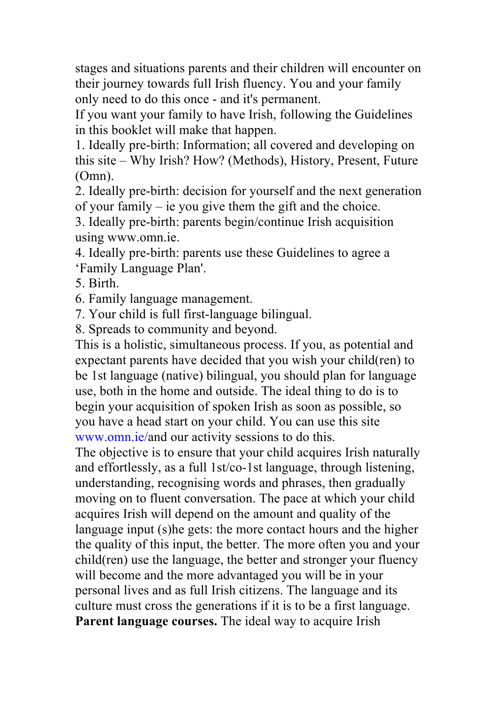stages and situations parents and their children will encounter on their journey towards full Irish fluency. You and your family only need to do this once - and it's permanent.

If you want your family to have Irish, following the Guidelines in this booklet will make that happen.

1. Ideally pre-birth: Information; all covered and developing on this site – Why Irish? How? (Methods), History, Present, Future (Omn).

2. Ideally pre-birth: decision for yourself and the next generation of your family – ie you give them the gift and the choice.

3. Ideally pre-birth: parents begin/continue Irish acquisition using www.omn.ie.

4. Ideally pre-birth: parents use these Guidelines to agree a 'Family Language Plan'.

5. Birth.

6. Family language management.

7. Your child is full first-language bilingual.

8. Spreads to community and beyond.

This is a holistic, simultaneous process. If you, as potential and expectant parents have decided that you wish your child(ren) to be 1st language (native) bilingual, you should plan for language use, both in the home and outside. The ideal thing to do is to begin your acquisition of spoken Irish as soon as possible, so you have a head start on your child. You can use this site www.omn.ie/and our activity sessions to do this.

The objective is to ensure that your child acquires Irish naturally and effortlessly, as a full 1st/co-1st language, through listening, understanding, recognising words and phrases, then gradually moving on to fluent conversation. The pace at which your child acquires Irish will depend on the amount and quality of the language input (s)he gets: the more contact hours and the higher the quality of this input, the better. The more often you and your child(ren) use the language, the better and stronger your fluency will become and the more advantaged you will be in your personal lives and as full Irish citizens. The language and its culture must cross the generations if it is to be a first language. **Parent language courses.** The ideal way to acquire Irish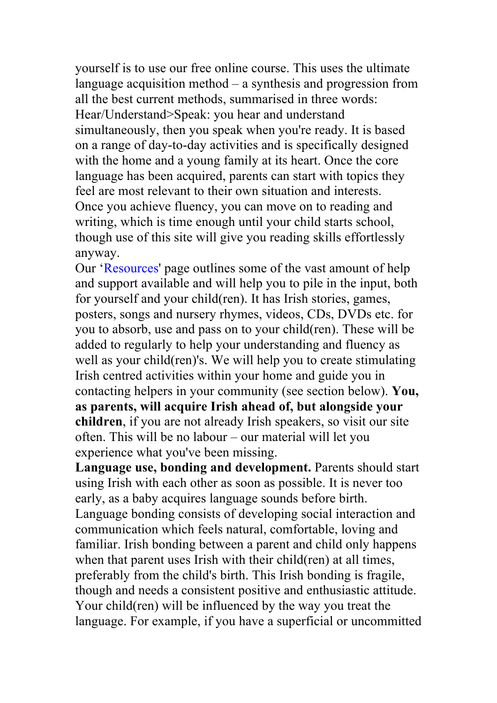yourself is to use our free online course. This uses the ultimate language acquisition method – a synthesis and progression from all the best current methods, summarised in three words: Hear/Understand>Speak: you hear and understand simultaneously, then you speak when you're ready. It is based on a range of day-to-day activities and is specifically designed with the home and a young family at its heart. Once the core language has been acquired, parents can start with topics they feel are most relevant to their own situation and interests. Once you achieve fluency, you can move on to reading and writing, which is time enough until your child starts school, though use of this site will give you reading skills effortlessly anyway.

Our 'Resources' page outlines some of the vast amount of help and support available and will help you to pile in the input, both for yourself and your child(ren). It has Irish stories, games, posters, songs and nursery rhymes, videos, CDs, DVDs etc. for you to absorb, use and pass on to your child(ren). These will be added to regularly to help your understanding and fluency as well as your child(ren)'s. We will help you to create stimulating Irish centred activities within your home and guide you in contacting helpers in your community (see section below). **You, as parents, will acquire Irish ahead of, but alongside your children**, if you are not already Irish speakers, so visit our site often. This will be no labour – our material will let you experience what you've been missing.

**Language use, bonding and development.** Parents should start using Irish with each other as soon as possible. It is never too early, as a baby acquires language sounds before birth. Language bonding consists of developing social interaction and communication which feels natural, comfortable, loving and familiar. Irish bonding between a parent and child only happens when that parent uses Irish with their child(ren) at all times, preferably from the child's birth. This Irish bonding is fragile, though and needs a consistent positive and enthusiastic attitude. Your child(ren) will be influenced by the way you treat the language. For example, if you have a superficial or uncommitted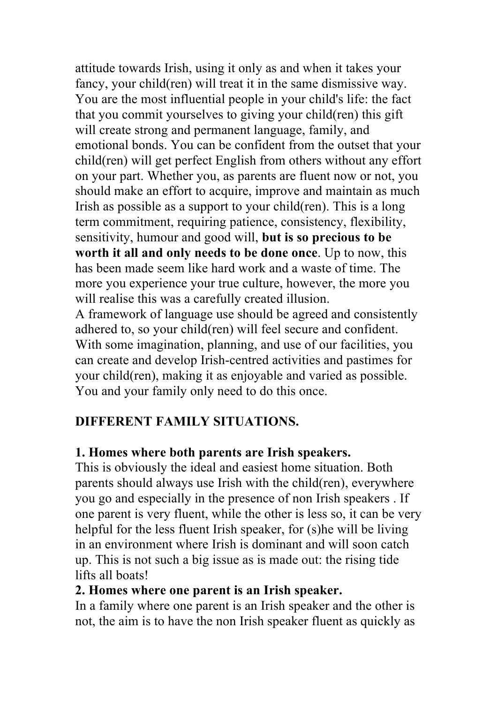attitude towards Irish, using it only as and when it takes your fancy, your child(ren) will treat it in the same dismissive way. You are the most influential people in your child's life: the fact that you commit yourselves to giving your child(ren) this gift will create strong and permanent language, family, and emotional bonds. You can be confident from the outset that your child(ren) will get perfect English from others without any effort on your part. Whether you, as parents are fluent now or not, you should make an effort to acquire, improve and maintain as much Irish as possible as a support to your child(ren). This is a long term commitment, requiring patience, consistency, flexibility, sensitivity, humour and good will, **but is so precious to be worth it all and only needs to be done once**. Up to now, this has been made seem like hard work and a waste of time. The more you experience your true culture, however, the more you will realise this was a carefully created illusion.

A framework of language use should be agreed and consistently adhered to, so your child(ren) will feel secure and confident. With some imagination, planning, and use of our facilities, you can create and develop Irish-centred activities and pastimes for your child(ren), making it as enjoyable and varied as possible. You and your family only need to do this once.

# **DIFFERENT FAMILY SITUATIONS.**

# **1. Homes where both parents are Irish speakers.**

This is obviously the ideal and easiest home situation. Both parents should always use Irish with the child(ren), everywhere you go and especially in the presence of non Irish speakers . If one parent is very fluent, while the other is less so, it can be very helpful for the less fluent Irish speaker, for (s)he will be living in an environment where Irish is dominant and will soon catch up. This is not such a big issue as is made out: the rising tide lifts all boats!

### **2. Homes where one parent is an Irish speaker.**

In a family where one parent is an Irish speaker and the other is not, the aim is to have the non Irish speaker fluent as quickly as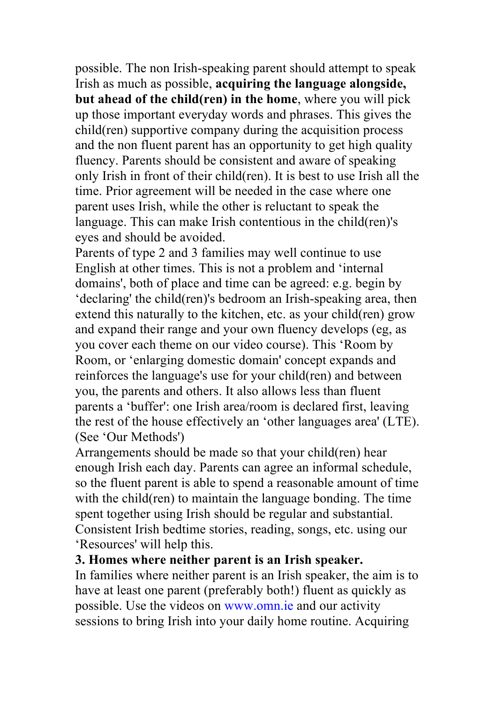possible. The non Irish-speaking parent should attempt to speak Irish as much as possible, **acquiring the language alongside, but ahead of the child(ren) in the home**, where you will pick up those important everyday words and phrases. This gives the child(ren) supportive company during the acquisition process and the non fluent parent has an opportunity to get high quality fluency. Parents should be consistent and aware of speaking only Irish in front of their child(ren). It is best to use Irish all the time. Prior agreement will be needed in the case where one parent uses Irish, while the other is reluctant to speak the language. This can make Irish contentious in the child(ren)'s eyes and should be avoided.

Parents of type 2 and 3 families may well continue to use English at other times. This is not a problem and 'internal domains', both of place and time can be agreed: e.g. begin by 'declaring' the child(ren)'s bedroom an Irish-speaking area, then extend this naturally to the kitchen, etc. as your child(ren) grow and expand their range and your own fluency develops (eg, as you cover each theme on our video course). This 'Room by Room, or 'enlarging domestic domain' concept expands and reinforces the language's use for your child(ren) and between you, the parents and others. It also allows less than fluent parents a 'buffer': one Irish area/room is declared first, leaving the rest of the house effectively an 'other languages area' (LTE). (See 'Our Methods')

Arrangements should be made so that your child(ren) hear enough Irish each day. Parents can agree an informal schedule, so the fluent parent is able to spend a reasonable amount of time with the child(ren) to maintain the language bonding. The time spent together using Irish should be regular and substantial. Consistent Irish bedtime stories, reading, songs, etc. using our 'Resources' will help this.

#### **3. Homes where neither parent is an Irish speaker.**

In families where neither parent is an Irish speaker, the aim is to have at least one parent (preferably both!) fluent as quickly as possible. Use the videos on www.omn.ie and our activity sessions to bring Irish into your daily home routine. Acquiring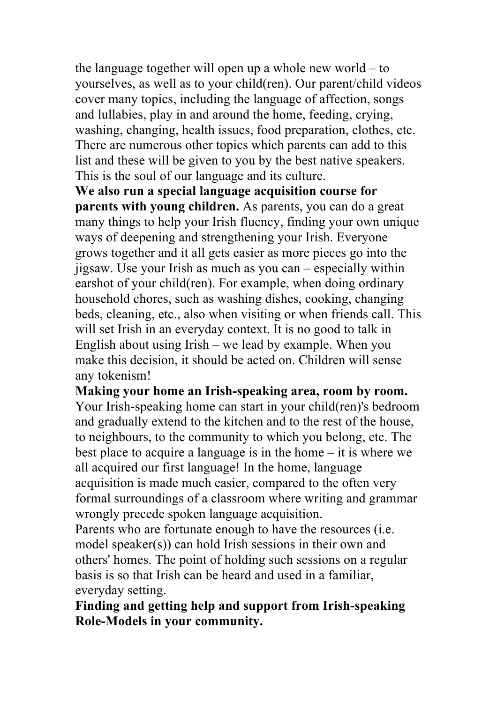the language together will open up a whole new world – to yourselves, as well as to your child(ren). Our parent/child videos cover many topics, including the language of affection, songs and lullabies, play in and around the home, feeding, crying, washing, changing, health issues, food preparation, clothes, etc. There are numerous other topics which parents can add to this list and these will be given to you by the best native speakers. This is the soul of our language and its culture.

**We also run a special language acquisition course for parents with young children.** As parents, you can do a great many things to help your Irish fluency, finding your own unique ways of deepening and strengthening your Irish. Everyone grows together and it all gets easier as more pieces go into the jigsaw. Use your Irish as much as you can – especially within earshot of your child(ren). For example, when doing ordinary household chores, such as washing dishes, cooking, changing beds, cleaning, etc., also when visiting or when friends call. This will set Irish in an everyday context. It is no good to talk in English about using Irish – we lead by example. When you make this decision, it should be acted on. Children will sense any tokenism!

**Making your home an Irish-speaking area, room by room.** Your Irish-speaking home can start in your child(ren)'s bedroom and gradually extend to the kitchen and to the rest of the house, to neighbours, to the community to which you belong, etc. The best place to acquire a language is in the home – it is where we all acquired our first language! In the home, language acquisition is made much easier, compared to the often very formal surroundings of a classroom where writing and grammar wrongly precede spoken language acquisition.

Parents who are fortunate enough to have the resources (i.e. model speaker(s)) can hold Irish sessions in their own and others' homes. The point of holding such sessions on a regular basis is so that Irish can be heard and used in a familiar, everyday setting.

**Finding and getting help and support from Irish-speaking Role-Models in your community.**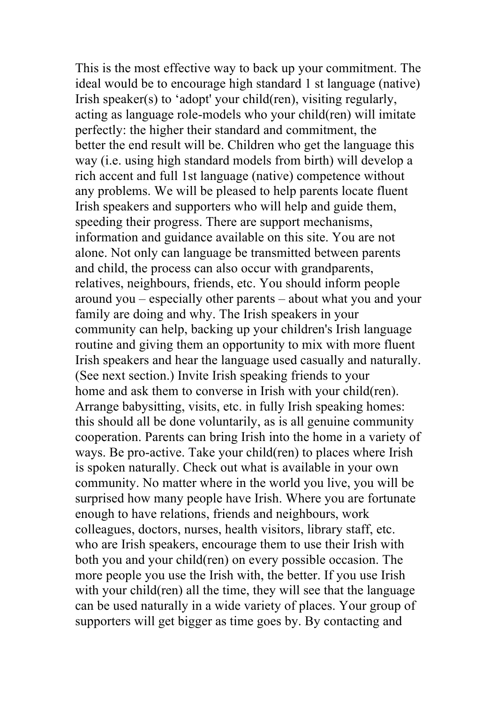This is the most effective way to back up your commitment. The ideal would be to encourage high standard 1 st language (native) Irish speaker(s) to 'adopt' your child(ren), visiting regularly, acting as language role-models who your child(ren) will imitate perfectly: the higher their standard and commitment, the better the end result will be. Children who get the language this way (i.e. using high standard models from birth) will develop a rich accent and full 1st language (native) competence without any problems. We will be pleased to help parents locate fluent Irish speakers and supporters who will help and guide them, speeding their progress. There are support mechanisms, information and guidance available on this site. You are not alone. Not only can language be transmitted between parents and child, the process can also occur with grandparents, relatives, neighbours, friends, etc. You should inform people around you – especially other parents – about what you and your family are doing and why. The Irish speakers in your community can help, backing up your children's Irish language routine and giving them an opportunity to mix with more fluent Irish speakers and hear the language used casually and naturally. (See next section.) Invite Irish speaking friends to your home and ask them to converse in Irish with your child(ren). Arrange babysitting, visits, etc. in fully Irish speaking homes: this should all be done voluntarily, as is all genuine community cooperation. Parents can bring Irish into the home in a variety of ways. Be pro-active. Take your child(ren) to places where Irish is spoken naturally. Check out what is available in your own community. No matter where in the world you live, you will be surprised how many people have Irish. Where you are fortunate enough to have relations, friends and neighbours, work colleagues, doctors, nurses, health visitors, library staff, etc. who are Irish speakers, encourage them to use their Irish with both you and your child(ren) on every possible occasion. The more people you use the Irish with, the better. If you use Irish with your child(ren) all the time, they will see that the language can be used naturally in a wide variety of places. Your group of supporters will get bigger as time goes by. By contacting and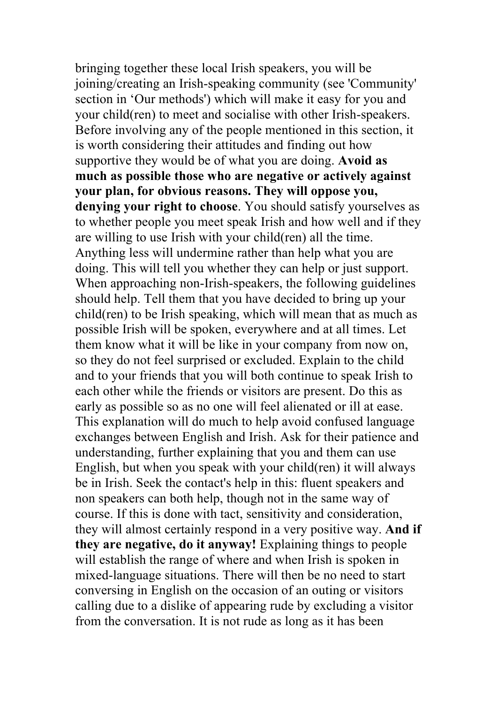bringing together these local Irish speakers, you will be joining/creating an Irish-speaking community (see 'Community' section in 'Our methods') which will make it easy for you and your child(ren) to meet and socialise with other Irish-speakers. Before involving any of the people mentioned in this section, it is worth considering their attitudes and finding out how supportive they would be of what you are doing. **Avoid as much as possible those who are negative or actively against your plan, for obvious reasons. They will oppose you, denying your right to choose**. You should satisfy yourselves as to whether people you meet speak Irish and how well and if they are willing to use Irish with your child(ren) all the time. Anything less will undermine rather than help what you are doing. This will tell you whether they can help or just support. When approaching non-Irish-speakers, the following guidelines should help. Tell them that you have decided to bring up your child(ren) to be Irish speaking, which will mean that as much as possible Irish will be spoken, everywhere and at all times. Let them know what it will be like in your company from now on, so they do not feel surprised or excluded. Explain to the child and to your friends that you will both continue to speak Irish to each other while the friends or visitors are present. Do this as early as possible so as no one will feel alienated or ill at ease. This explanation will do much to help avoid confused language exchanges between English and Irish. Ask for their patience and understanding, further explaining that you and them can use English, but when you speak with your child(ren) it will always be in Irish. Seek the contact's help in this: fluent speakers and non speakers can both help, though not in the same way of course. If this is done with tact, sensitivity and consideration, they will almost certainly respond in a very positive way. **And if they are negative, do it anyway!** Explaining things to people will establish the range of where and when Irish is spoken in mixed-language situations. There will then be no need to start conversing in English on the occasion of an outing or visitors calling due to a dislike of appearing rude by excluding a visitor from the conversation. It is not rude as long as it has been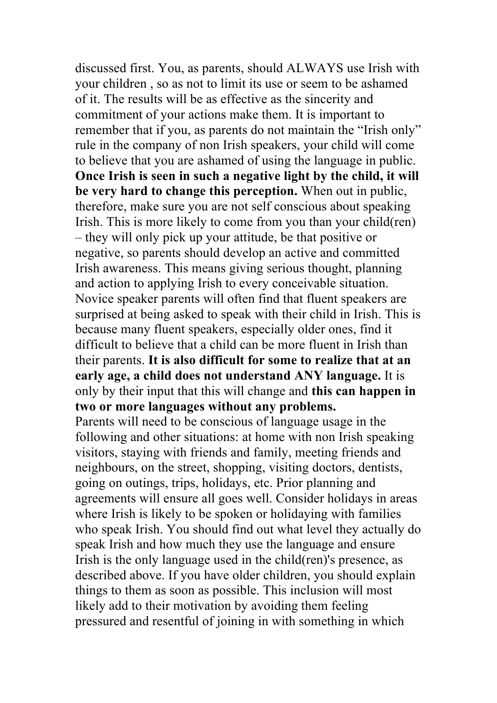discussed first. You, as parents, should ALWAYS use Irish with your children , so as not to limit its use or seem to be ashamed of it. The results will be as effective as the sincerity and commitment of your actions make them. It is important to remember that if you, as parents do not maintain the "Irish only" rule in the company of non Irish speakers, your child will come to believe that you are ashamed of using the language in public. **Once Irish is seen in such a negative light by the child, it will be very hard to change this perception.** When out in public, therefore, make sure you are not self conscious about speaking Irish. This is more likely to come from you than your child(ren) – they will only pick up your attitude, be that positive or negative, so parents should develop an active and committed Irish awareness. This means giving serious thought, planning and action to applying Irish to every conceivable situation. Novice speaker parents will often find that fluent speakers are surprised at being asked to speak with their child in Irish. This is because many fluent speakers, especially older ones, find it difficult to believe that a child can be more fluent in Irish than their parents. **It is also difficult for some to realize that at an early age, a child does not understand ANY language.** It is only by their input that this will change and **this can happen in two or more languages without any problems.**

Parents will need to be conscious of language usage in the following and other situations: at home with non Irish speaking visitors, staying with friends and family, meeting friends and neighbours, on the street, shopping, visiting doctors, dentists, going on outings, trips, holidays, etc. Prior planning and agreements will ensure all goes well. Consider holidays in areas where Irish is likely to be spoken or holidaying with families who speak Irish. You should find out what level they actually do speak Irish and how much they use the language and ensure Irish is the only language used in the child(ren)'s presence, as described above. If you have older children, you should explain things to them as soon as possible. This inclusion will most likely add to their motivation by avoiding them feeling pressured and resentful of joining in with something in which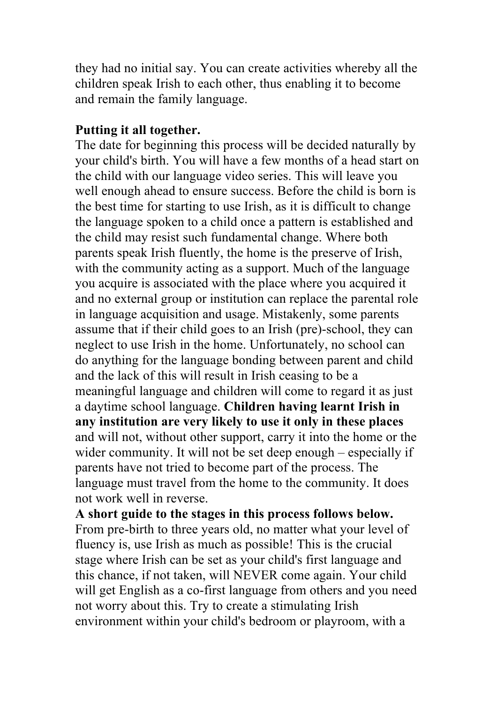they had no initial say. You can create activities whereby all the children speak Irish to each other, thus enabling it to become and remain the family language.

#### **Putting it all together.**

The date for beginning this process will be decided naturally by your child's birth. You will have a few months of a head start on the child with our language video series. This will leave you well enough ahead to ensure success. Before the child is born is the best time for starting to use Irish, as it is difficult to change the language spoken to a child once a pattern is established and the child may resist such fundamental change. Where both parents speak Irish fluently, the home is the preserve of Irish, with the community acting as a support. Much of the language you acquire is associated with the place where you acquired it and no external group or institution can replace the parental role in language acquisition and usage. Mistakenly, some parents assume that if their child goes to an Irish (pre)-school, they can neglect to use Irish in the home. Unfortunately, no school can do anything for the language bonding between parent and child and the lack of this will result in Irish ceasing to be a meaningful language and children will come to regard it as just a daytime school language. **Children having learnt Irish in any institution are very likely to use it only in these places** and will not, without other support, carry it into the home or the wider community. It will not be set deep enough – especially if parents have not tried to become part of the process. The language must travel from the home to the community. It does not work well in reverse.

**A short guide to the stages in this process follows below.** From pre-birth to three years old, no matter what your level of fluency is, use Irish as much as possible! This is the crucial stage where Irish can be set as your child's first language and this chance, if not taken, will NEVER come again. Your child will get English as a co-first language from others and you need not worry about this. Try to create a stimulating Irish environment within your child's bedroom or playroom, with a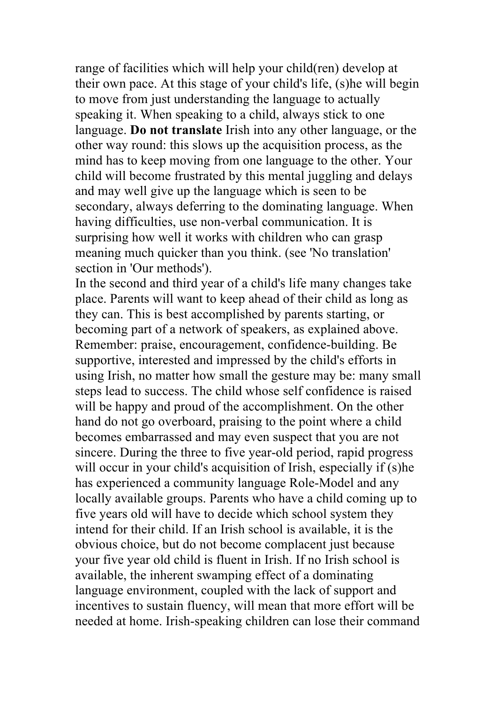range of facilities which will help your child(ren) develop at their own pace. At this stage of your child's life, (s)he will begin to move from just understanding the language to actually speaking it. When speaking to a child, always stick to one language. **Do not translate** Irish into any other language, or the other way round: this slows up the acquisition process, as the mind has to keep moving from one language to the other. Your child will become frustrated by this mental juggling and delays and may well give up the language which is seen to be secondary, always deferring to the dominating language. When having difficulties, use non-verbal communication. It is surprising how well it works with children who can grasp meaning much quicker than you think. (see 'No translation' section in 'Our methods').

In the second and third year of a child's life many changes take place. Parents will want to keep ahead of their child as long as they can. This is best accomplished by parents starting, or becoming part of a network of speakers, as explained above. Remember: praise, encouragement, confidence-building. Be supportive, interested and impressed by the child's efforts in using Irish, no matter how small the gesture may be: many small steps lead to success. The child whose self confidence is raised will be happy and proud of the accomplishment. On the other hand do not go overboard, praising to the point where a child becomes embarrassed and may even suspect that you are not sincere. During the three to five year-old period, rapid progress will occur in your child's acquisition of Irish, especially if (s)he has experienced a community language Role-Model and any locally available groups. Parents who have a child coming up to five years old will have to decide which school system they intend for their child. If an Irish school is available, it is the obvious choice, but do not become complacent just because your five year old child is fluent in Irish. If no Irish school is available, the inherent swamping effect of a dominating language environment, coupled with the lack of support and incentives to sustain fluency, will mean that more effort will be needed at home. Irish-speaking children can lose their command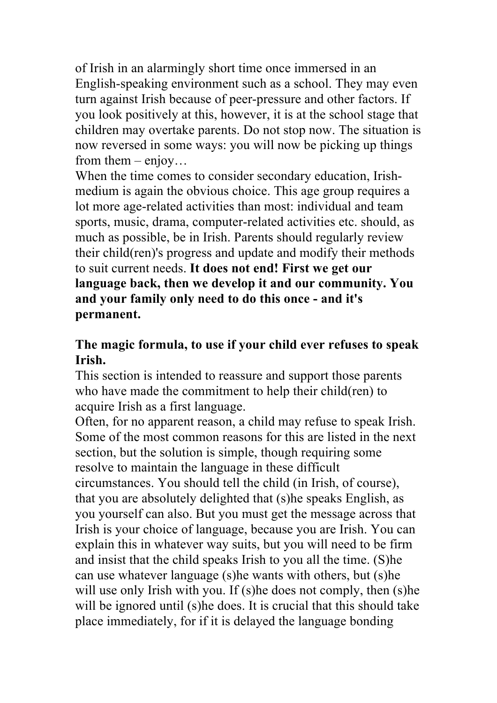of Irish in an alarmingly short time once immersed in an English-speaking environment such as a school. They may even turn against Irish because of peer-pressure and other factors. If you look positively at this, however, it is at the school stage that children may overtake parents. Do not stop now. The situation is now reversed in some ways: you will now be picking up things from them  $-$  enjoy...

When the time comes to consider secondary education, Irishmedium is again the obvious choice. This age group requires a lot more age-related activities than most: individual and team sports, music, drama, computer-related activities etc. should, as much as possible, be in Irish. Parents should regularly review their child(ren)'s progress and update and modify their methods to suit current needs. **It does not end! First we get our language back, then we develop it and our community. You and your family only need to do this once - and it's permanent.**

# **The magic formula, to use if your child ever refuses to speak Irish.**

This section is intended to reassure and support those parents who have made the commitment to help their child(ren) to acquire Irish as a first language.

Often, for no apparent reason, a child may refuse to speak Irish. Some of the most common reasons for this are listed in the next section, but the solution is simple, though requiring some resolve to maintain the language in these difficult circumstances. You should tell the child (in Irish, of course), that you are absolutely delighted that (s)he speaks English, as you yourself can also. But you must get the message across that Irish is your choice of language, because you are Irish. You can explain this in whatever way suits, but you will need to be firm and insist that the child speaks Irish to you all the time. (S)he can use whatever language (s)he wants with others, but (s)he will use only Irish with you. If (s)he does not comply, then (s)he will be ignored until (s)he does. It is crucial that this should take place immediately, for if it is delayed the language bonding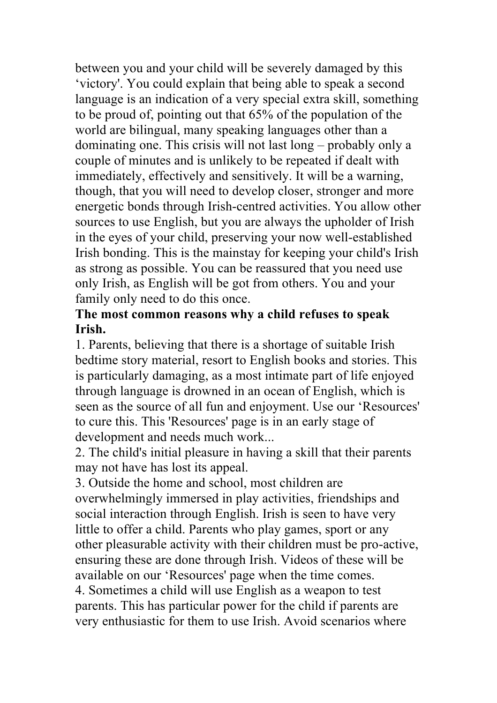between you and your child will be severely damaged by this 'victory'. You could explain that being able to speak a second language is an indication of a very special extra skill, something to be proud of, pointing out that 65% of the population of the world are bilingual, many speaking languages other than a dominating one. This crisis will not last long – probably only a couple of minutes and is unlikely to be repeated if dealt with immediately, effectively and sensitively. It will be a warning, though, that you will need to develop closer, stronger and more energetic bonds through Irish-centred activities. You allow other sources to use English, but you are always the upholder of Irish in the eyes of your child, preserving your now well-established Irish bonding. This is the mainstay for keeping your child's Irish as strong as possible. You can be reassured that you need use only Irish, as English will be got from others. You and your family only need to do this once.

## **The most common reasons why a child refuses to speak Irish.**

1. Parents, believing that there is a shortage of suitable Irish bedtime story material, resort to English books and stories. This is particularly damaging, as a most intimate part of life enjoyed through language is drowned in an ocean of English, which is seen as the source of all fun and enjoyment. Use our 'Resources' to cure this. This 'Resources' page is in an early stage of development and needs much work...

2. The child's initial pleasure in having a skill that their parents may not have has lost its appeal.

3. Outside the home and school, most children are overwhelmingly immersed in play activities, friendships and social interaction through English. Irish is seen to have very little to offer a child. Parents who play games, sport or any other pleasurable activity with their children must be pro-active, ensuring these are done through Irish. Videos of these will be available on our 'Resources' page when the time comes. 4. Sometimes a child will use English as a weapon to test parents. This has particular power for the child if parents are very enthusiastic for them to use Irish. Avoid scenarios where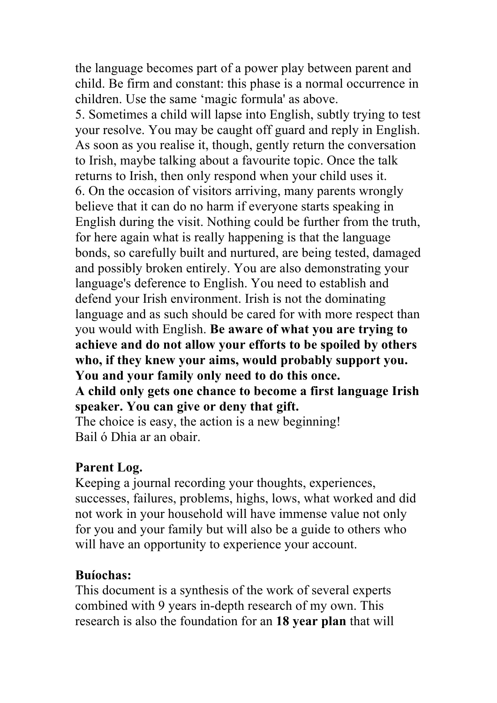the language becomes part of a power play between parent and child. Be firm and constant: this phase is a normal occurrence in children. Use the same 'magic formula' as above.

5. Sometimes a child will lapse into English, subtly trying to test your resolve. You may be caught off guard and reply in English. As soon as you realise it, though, gently return the conversation to Irish, maybe talking about a favourite topic. Once the talk returns to Irish, then only respond when your child uses it. 6. On the occasion of visitors arriving, many parents wrongly believe that it can do no harm if everyone starts speaking in English during the visit. Nothing could be further from the truth, for here again what is really happening is that the language bonds, so carefully built and nurtured, are being tested, damaged and possibly broken entirely. You are also demonstrating your language's deference to English. You need to establish and defend your Irish environment. Irish is not the dominating language and as such should be cared for with more respect than you would with English. **Be aware of what you are trying to achieve and do not allow your efforts to be spoiled by others who, if they knew your aims, would probably support you. You and your family only need to do this once. A child only gets one chance to become a first language Irish speaker. You can give or deny that gift.** The choice is easy, the action is a new beginning! Bail ó Dhia ar an obair.

### **Parent Log.**

Keeping a journal recording your thoughts, experiences, successes, failures, problems, highs, lows, what worked and did not work in your household will have immense value not only for you and your family but will also be a guide to others who will have an opportunity to experience your account.

#### **Buíochas:**

This document is a synthesis of the work of several experts combined with 9 years in-depth research of my own. This research is also the foundation for an **18 year plan** that will